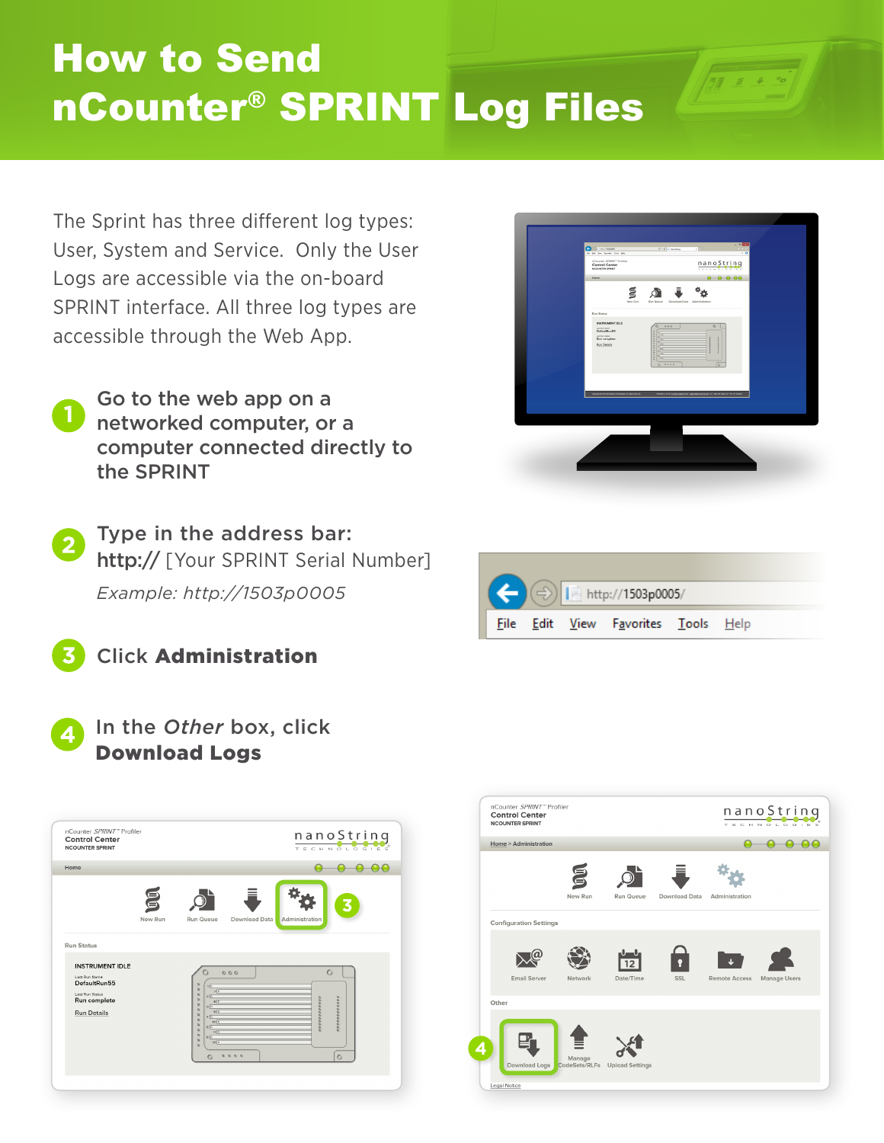## How to Send nCounter® SPRINT Log Files

The Sprint has three different log types: User, System and Service. Only the User Logs are accessible via the on-board SPRINT interface. All three log types are accessible through the Web App.

- Go to the web app on a networked computer, or a computer connected directly to the SPRINT **1**
- Type in the address bar: http:// [Your SPRINT Serial Number] *Example: http://1503p0005*



In the *Other* box, click Download Logs

| <b>Control Center</b><br><b>NCOUNTER SPRINT</b>                                                                                       |              |                                                                                                                                                                                                                                   |                                                                                                    |                | nanoString<br>TECHNOLOGIES |
|---------------------------------------------------------------------------------------------------------------------------------------|--------------|-----------------------------------------------------------------------------------------------------------------------------------------------------------------------------------------------------------------------------------|----------------------------------------------------------------------------------------------------|----------------|----------------------------|
| Home                                                                                                                                  |              |                                                                                                                                                                                                                                   |                                                                                                    |                |                            |
|                                                                                                                                       | g<br>New Run | Run Queue                                                                                                                                                                                                                         | Download Data                                                                                      | Administration | B                          |
| <b>Run Status</b><br><b>INSTRUMENT IDLE</b><br>Last Run Name<br>DefaultRun55<br>Last Run Status<br>Run complete<br><b>Run Details</b> |              | $\mathbf{Q}_i$<br>16<br>$\mathbf{Q}$<br>76<br>$\mathbf{Q}$<br>26<br>$\mathbf{Q}$<br>$\frac{1}{2}$<br>$\mathbf{Q}$<br>36<br>ä<br>$\frac{1}{2}$<br>$\mathbf{a}$<br>40<br>$\mathbf{a}$<br>10 <sup>2</sup><br>$\overline{\mathbf{a}}$ | 0.00                                                                                               | 000000000000   | $\circ$<br>000000000000    |
|                                                                                                                                       |              | 50<br>$\mathbf{a}$<br>$\frac{1}{10}$<br>$\mathbf{a}$<br>86<br>$\mathbf{a}$<br>12 <sub>0</sub><br>$\alpha$<br>$\circ$                                                                                                              | $\begin{array}{ccccccccccccccccc} \alpha & \alpha & \alpha & \alpha & \alpha & \alpha \end{array}$ |                | $\circ$                    |